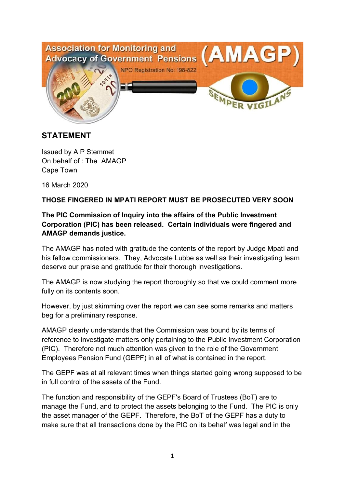

## **STATEMENT**

Issued by A P Stemmet On behalf of : The AMAGP Cape Town

16 March 2020

## **THOSE FINGERED IN MPATI REPORT MUST BE PROSECUTED VERY SOON**

## **The PIC Commission of Inquiry into the affairs of the Public Investment Corporation (PIC) has been released. Certain individuals were fingered and AMAGP demands justice.**

The AMAGP has noted with gratitude the contents of the report by Judge Mpati and his fellow commissioners. They, Advocate Lubbe as well as their investigating team deserve our praise and gratitude for their thorough investigations.

The AMAGP is now studying the report thoroughly so that we could comment more fully on its contents soon.

However, by just skimming over the report we can see some remarks and matters beg for a preliminary response.

AMAGP clearly understands that the Commission was bound by its terms of reference to investigate matters only pertaining to the Public Investment Corporation (PIC). Therefore not much attention was given to the role of the Government Employees Pension Fund (GEPF) in all of what is contained in the report.

The GEPF was at all relevant times when things started going wrong supposed to be in full control of the assets of the Fund.

The function and responsibility of the GEPF's Board of Trustees (BoT) are to manage the Fund, and to protect the assets belonging to the Fund. The PIC is only the asset manager of the GEPF. Therefore, the BoT of the GEPF has a duty to make sure that all transactions done by the PIC on its behalf was legal and in the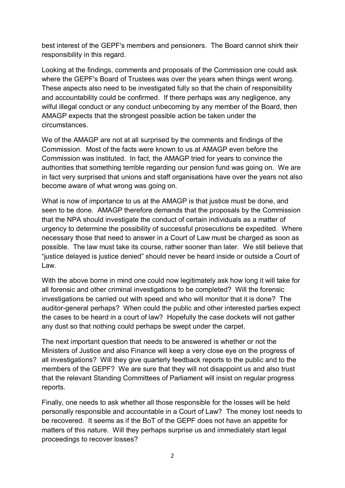best interest of the GEPF's members and pensioners. The Board cannot shirk their responsibility in this regard.

Looking at the findings, comments and proposals of the Commission one could ask where the GEPF's Board of Trustees was over the years when things went wrong. These aspects also need to be investigated fully so that the chain of responsibility and accountability could be confirmed. If there perhaps was any negligence, any wilful illegal conduct or any conduct unbecoming by any member of the Board, then AMAGP expects that the strongest possible action be taken under the circumstances.

We of the AMAGP are not at all surprised by the comments and findings of the Commission. Most of the facts were known to us at AMAGP even before the Commission was instituted. In fact, the AMAGP tried for years to convince the authorities that something terrible regarding our pension fund was going on. We are in fact very surprised that unions and staff organisations have over the years not also become aware of what wrong was going on.

What is now of importance to us at the AMAGP is that justice must be done, and seen to be done. AMAGP therefore demands that the proposals by the Commission that the NPA should investigate the conduct of certain individuals as a matter of urgency to determine the possibility of successful prosecutions be expedited. Where necessary those that need to answer in a Court of Law must be charged as soon as possible. The law must take its course, rather sooner than later. We still believe that "justice delayed is justice denied" should never be heard inside or outside a Court of Law.

With the above borne in mind one could now legitimately ask how long it will take for all forensic and other criminal investigations to be completed? Will the forensic investigations be carried out with speed and who will monitor that it is done? The auditor-general perhaps? When could the public and other interested parties expect the cases to be heard in a court of law? Hopefully the case dockets will not gather any dust so that nothing could perhaps be swept under the carpet.

The next important question that needs to be answered is whether or not the Ministers of Justice and also Finance will keep a very close eye on the progress of all investigations? Will they give quarterly feedback reports to the public and to the members of the GEPF? We are sure that they will not disappoint us and also trust that the relevant Standing Committees of Parliament will insist on regular progress reports.

Finally, one needs to ask whether all those responsible for the losses will be held personally responsible and accountable in a Court of Law? The money lost needs to be recovered. It seems as if the BoT of the GEPF does not have an appetite for matters of this nature. Will they perhaps surprise us and immediately start legal proceedings to recover losses?